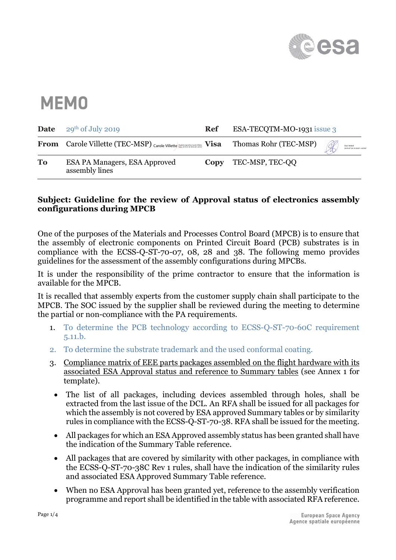

## **MEMO**

| <b>Date</b> | $29th$ of July 2019                                   | Ref  | ESA-TECQTM-MO-1931 issue 3 |  |                                             |
|-------------|-------------------------------------------------------|------|----------------------------|--|---------------------------------------------|
|             | <b>From</b> Carole Villette (TEC-MSP) Carole Villette |      | Thomas Rohr (TEC-MSP)      |  | Stan Heltzel<br>2019.07.30 10:36:01 +02'00" |
| <b>To</b>   | ESA PA Managers, ESA Approved<br>assembly lines       | Copy | TEC-MSP, TEC-QQ            |  |                                             |

## **Subject: Guideline for the review of Approval status of electronics assembly configurations during MPCB**

One of the purposes of the Materials and Processes Control Board (MPCB) is to ensure that the assembly of electronic components on Printed Circuit Board (PCB) substrates is in compliance with the ECSS-Q-ST-70-07, 08, 28 and 38. The following memo provides guidelines for the assessment of the assembly configurations during MPCBs.

It is under the responsibility of the prime contractor to ensure that the information is available for the MPCB.

It is recalled that assembly experts from the customer supply chain shall participate to the MPCB. The SOC issued by the supplier shall be reviewed during the meeting to determine the partial or non-compliance with the PA requirements.

- 1. To determine the PCB technology according to ECSS-Q-ST-70-60C requirement 5.11.b.
- 2. To determine the substrate trademark and the used conformal coating.
- 3. Compliance matrix of EEE parts packages assembled on the flight hardware with its associated ESA Approval status and reference to Summary tables (see Annex 1 for template).
	- The list of all packages, including devices assembled through holes, shall be extracted from the last issue of the DCL. An RFA shall be issued for all packages for which the assembly is not covered by ESA approved Summary tables or by similarity rules in compliance with the ECSS-Q-ST-70-38. RFA shall be issued for the meeting.
	- All packages for which an ESA Approved assembly status has been granted shall have the indication of the Summary Table reference.
	- All packages that are covered by similarity with other packages, in compliance with the ECSS-Q-ST-70-38C Rev 1 rules, shall have the indication of the similarity rules and associated ESA Approved Summary Table reference.
	- When no ESA Approval has been granted yet, reference to the assembly verification programme and report shall be identified in the table with associated RFA reference.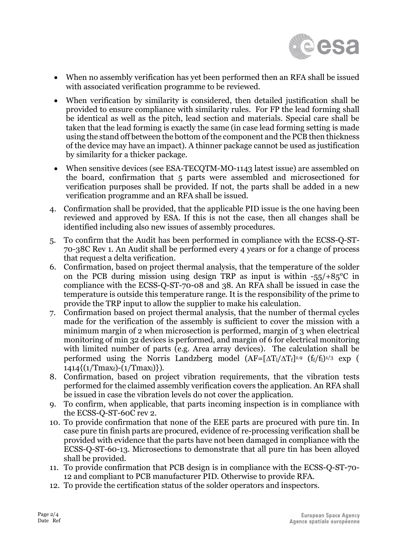

- When no assembly verification has yet been performed then an RFA shall be issued with associated verification programme to be reviewed.
- When verification by similarity is considered, then detailed justification shall be provided to ensure compliance with similarity rules. For FP the lead forming shall be identical as well as the pitch, lead section and materials. Special care shall be taken that the lead forming is exactly the same (in case lead forming setting is made using the stand off between the bottom of the component and the PCB then thickness of the device may have an impact). A thinner package cannot be used as justification by similarity for a thicker package.
- When sensitive devices (see ESA-TECQTM-MO-1143 latest issue) are assembled on the board, confirmation that 5 parts were assembled and microsectioned for verification purposes shall be provided. If not, the parts shall be added in a new verification programme and an RFA shall be issued.
- 4. Confirmation shall be provided, that the applicable PID issue is the one having been reviewed and approved by ESA. If this is not the case, then all changes shall be identified including also new issues of assembly procedures.
- 5. To confirm that the Audit has been performed in compliance with the ECSS-Q-ST-70-38C Rev 1. An Audit shall be performed every 4 years or for a change of process that request a delta verification.
- 6. Confirmation, based on project thermal analysis, that the temperature of the solder on the PCB during mission using design TRP as input is within  $-55/85$ °C in compliance with the ECSS-Q-ST-70-08 and 38. An RFA shall be issued in case the temperature is outside this temperature range. It is the responsibility of the prime to provide the TRP input to allow the supplier to make his calculation.
- 7. Confirmation based on project thermal analysis, that the number of thermal cycles made for the verification of the assembly is sufficient to cover the mission with a minimum margin of 2 when microsection is performed, margin of 3 when electrical monitoring of min 32 devices is performed, and margin of 6 for electrical monitoring with limited number of parts (e.g. Area array devices). The calculation shall be performed using the Norris Landzberg model  $(AF=[\Delta T_1/\Delta T_f]^{1.9}$  ( $f_f/f_i$ )<sup>1/3</sup> exp (  $1414\{(1/Tmax<sub>f</sub>)-(1/Tmax<sub>l</sub>)\}).$
- 8. Confirmation, based on project vibration requirements, that the vibration tests performed for the claimed assembly verification covers the application. An RFA shall be issued in case the vibration levels do not cover the application.
- 9. To confirm, when applicable, that parts incoming inspection is in compliance with the ECSS-Q-ST-60C rev 2.
- 10. To provide confirmation that none of the EEE parts are procured with pure tin. In case pure tin finish parts are procured, evidence of re-processing verification shall be provided with evidence that the parts have not been damaged in compliance with the ECSS-Q-ST-60-13. Microsections to demonstrate that all pure tin has been alloyed shall be provided.
- 11. To provide confirmation that PCB design is in compliance with the ECSS-Q-ST-70- 12 and compliant to PCB manufacturer PID. Otherwise to provide RFA.
- 12. To provide the certification status of the solder operators and inspectors.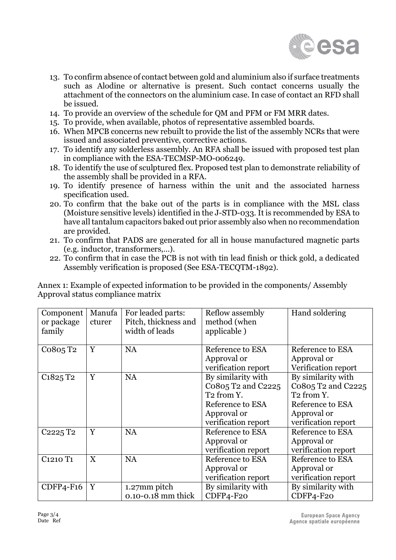

- 13. To confirm absence of contact between gold and aluminium also if surface treatments such as Alodine or alternative is present. Such contact concerns usually the attachment of the connectors on the aluminium case. In case of contact an RFD shall be issued.
- 14. To provide an overview of the schedule for QM and PFM or FM MRR dates.
- 15. To provide, when available, photos of representative assembled boards.
- 16. When MPCB concerns new rebuilt to provide the list of the assembly NCRs that were issued and associated preventive, corrective actions.
- 17. To identify any solderless assembly. An RFA shall be issued with proposed test plan in compliance with the ESA-TECMSP-MO-006249.
- 18. To identify the use of sculptured flex. Proposed test plan to demonstrate reliability of the assembly shall be provided in a RFA.
- 19. To identify presence of harness within the unit and the associated harness specification used.
- 20. To confirm that the bake out of the parts is in compliance with the MSL class (Moisture sensitive levels) identified in the J-STD-033. It is recommended by ESA to have all tantalum capacitors baked out prior assembly also when no recommendation are provided.
- 21. To confirm that PADS are generated for all in house manufactured magnetic parts (e.g. inductor, transformers,…).
- 22. To confirm that in case the PCB is not with tin lead finish or thick gold, a dedicated Assembly verification is proposed (See ESA-TECQTM-1892).

Annex 1: Example of expected information to be provided in the components/ Assembly Approval status compliance matrix

| Component<br>or package<br>family | Manufa<br>cturer | For leaded parts:<br>Pitch, thickness and<br>width of leads | Reflow assembly<br>method (when<br>applicable)                                                                               | Hand soldering                                                                                                               |  |
|-----------------------------------|------------------|-------------------------------------------------------------|------------------------------------------------------------------------------------------------------------------------------|------------------------------------------------------------------------------------------------------------------------------|--|
| Co805 T <sub>2</sub>              | Y                | <b>NA</b>                                                   | Reference to ESA<br>Approval or<br>verification report                                                                       | Reference to ESA<br>Approval or<br>Verification report                                                                       |  |
| C <sub>1825</sub> T <sub>2</sub>  | Y                | <b>NA</b>                                                   | By similarity with<br>Co805 T2 and C2225<br>T <sub>2</sub> from Y.<br>Reference to ESA<br>Approval or<br>verification report | By similarity with<br>Co805 T2 and C2225<br>T <sub>2</sub> from Y.<br>Reference to ESA<br>Approval or<br>verification report |  |
| C <sub>2225</sub> T <sub>2</sub>  | Y                | <b>NA</b>                                                   | Reference to ESA<br>Approval or<br>verification report                                                                       | <b>Reference to ESA</b><br>Approval or<br>verification report                                                                |  |
| C <sub>1210</sub> T <sub>1</sub>  | X                | <b>NA</b>                                                   | Reference to ESA<br>Reference to ESA<br>Approval or<br>Approval or<br>verification report<br>verification report             |                                                                                                                              |  |
| $CDFP4-F16$                       | Y                | 1.27mm pitch<br>0.10-0.18 mm thick                          | By similarity with<br>CDFP4-F20                                                                                              | By similarity with<br>CDFP4-F20                                                                                              |  |